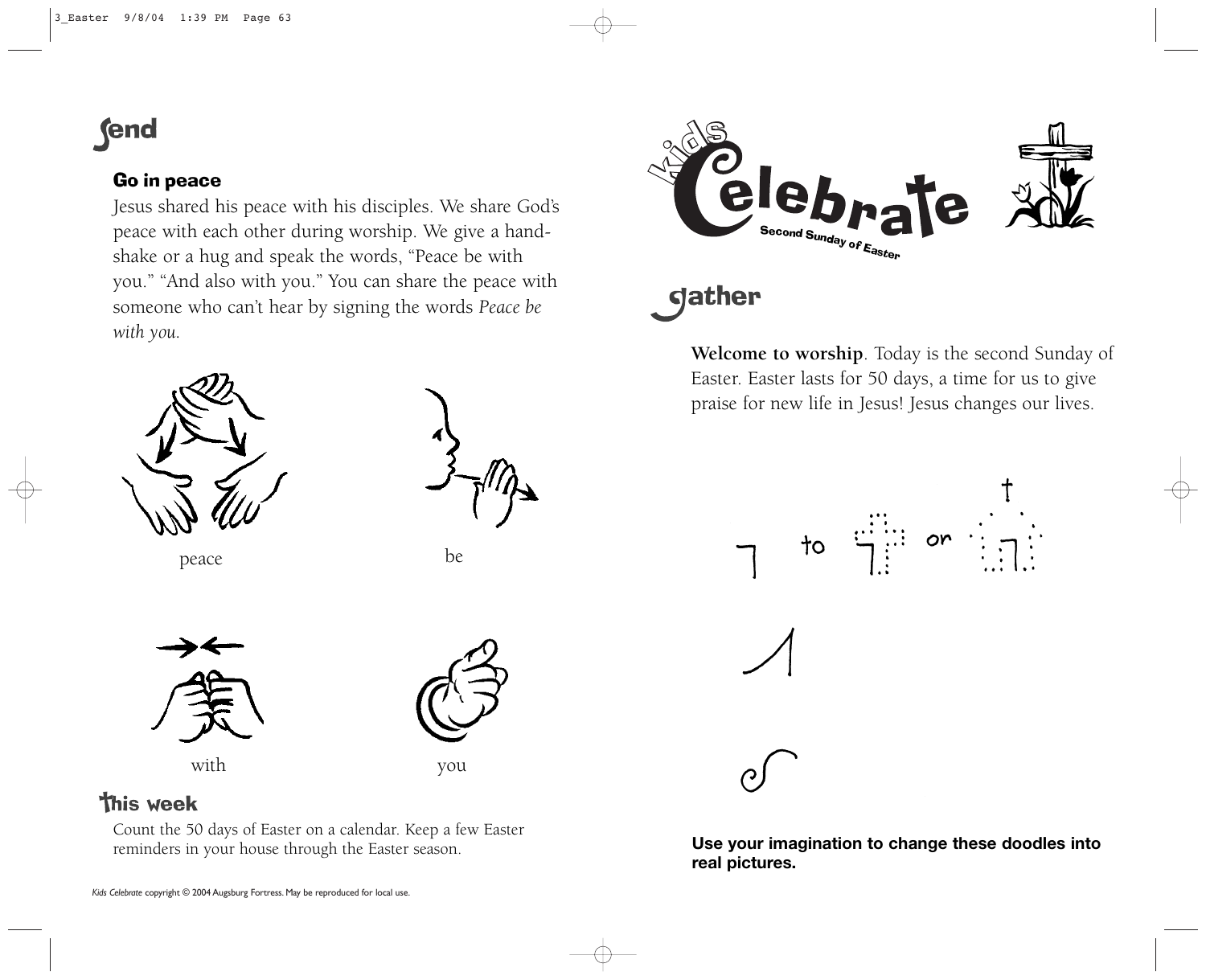## **fend**

### Go in peace

Jesus shared his peace with his disciples. We share God's peace with each other during worship. We give a handshake or a hug and speak the words, "Peace be with you." "And also with you." You can share the peace with someone who can't hear by signing the words *Peace be with you.*





peace be be



with you



## **This week**

Count the 50 days of Easter on a calendar. Keep a few Easter reminders in your house through the Easter season.



# **gather**

**Welcome to worship**. Today is the second Sunday of Easter. Easter lasts for 50 days, a time for us to give praise for new life in Jesus! Jesus changes our lives.





**Use your imagination to change these doodles into real pictures.**